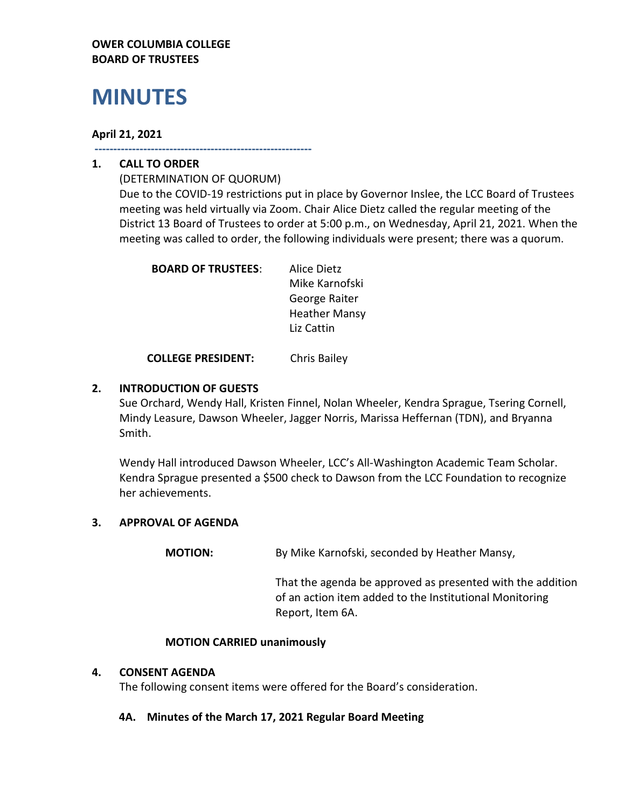## **OWER COLUMBIA COLLEGE BOARD OF TRUSTEES**

# **MINUTES**

## **April 21, 2021**

**----------------------------------------------------------**

## **1. CALL TO ORDER**

(DETERMINATION OF QUORUM) Due to the COVID-19 restrictions put in place by Governor Inslee, the LCC Board of Trustees meeting was held virtually via Zoom. Chair Alice Dietz called the regular meeting of the District 13 Board of Trustees to order at 5:00 p.m., on Wednesday, April 21, 2021. When the meeting was called to order, the following individuals were present; there was a quorum.

| <b>BOARD OF TRUSTEES:</b> | Alice Dietz          |
|---------------------------|----------------------|
|                           | Mike Karnofski       |
|                           | George Raiter        |
|                           | <b>Heather Mansy</b> |
|                           | Liz Cattin           |
|                           |                      |

**COLLEGE PRESIDENT:** Chris Bailey

## **2. INTRODUCTION OF GUESTS**

Sue Orchard, Wendy Hall, Kristen Finnel, Nolan Wheeler, Kendra Sprague, Tsering Cornell, Mindy Leasure, Dawson Wheeler, Jagger Norris, Marissa Heffernan (TDN), and Bryanna Smith.

Wendy Hall introduced Dawson Wheeler, LCC's All-Washington Academic Team Scholar. Kendra Sprague presented a \$500 check to Dawson from the LCC Foundation to recognize her achievements.

## **3. APPROVAL OF AGENDA**

**MOTION:** By Mike Karnofski, seconded by Heather Mansy,

That the agenda be approved as presented with the addition of an action item added to the Institutional Monitoring Report, Item 6A.

## **MOTION CARRIED unanimously**

## **4. CONSENT AGENDA**

The following consent items were offered for the Board's consideration.

## **4A. Minutes of the March 17, 2021 Regular Board Meeting**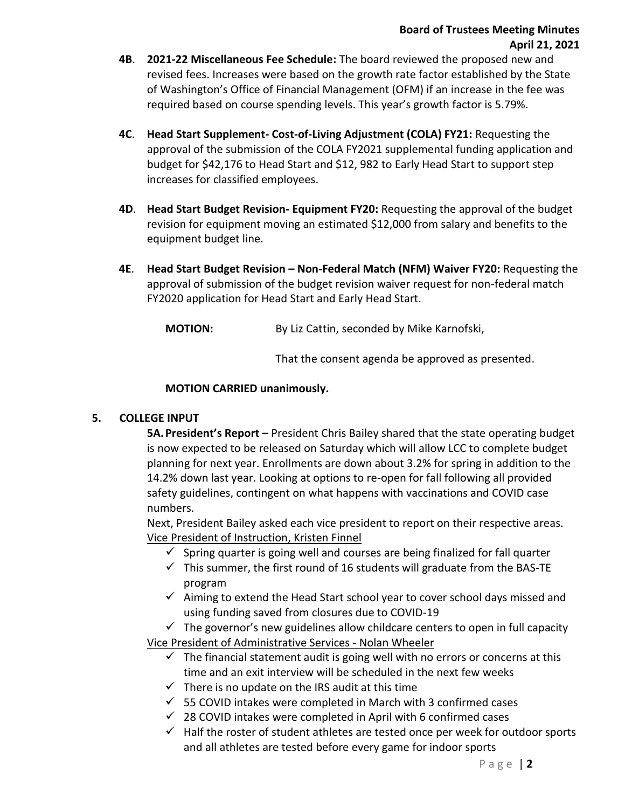- **4B**. **2021-22 Miscellaneous Fee Schedule:** The board reviewed the proposed new and revised fees. Increases were based on the growth rate factor established by the State of Washington's Office of Financial Management (OFM) if an increase in the fee was required based on course spending levels. This year's growth factor is 5.79%.
- **4C**. **Head Start Supplement- Cost-of-Living Adjustment (COLA) FY21:** Requesting the approval of the submission of the COLA FY2021 supplemental funding application and budget for \$42,176 to Head Start and \$12, 982 to Early Head Start to support step increases for classified employees.
- **4D**. **Head Start Budget Revision- Equipment FY20:** Requesting the approval of the budget revision for equipment moving an estimated \$12,000 from salary and benefits to the equipment budget line.
- **4E**. **Head Start Budget Revision – Non-Federal Match (NFM) Waiver FY20:** Requesting the approval of submission of the budget revision waiver request for non-federal match FY2020 application for Head Start and Early Head Start.

**MOTION:** By Liz Cattin, seconded by Mike Karnofski,

That the consent agenda be approved as presented.

## **MOTION CARRIED unanimously.**

## **5. COLLEGE INPUT**

**5A.President's Report –** President Chris Bailey shared that the state operating budget is now expected to be released on Saturday which will allow LCC to complete budget planning for next year. Enrollments are down about 3.2% for spring in addition to the 14.2% down last year. Looking at options to re-open for fall following all provided safety guidelines, contingent on what happens with vaccinations and COVID case numbers.

Next, President Bailey asked each vice president to report on their respective areas. Vice President of Instruction, Kristen Finnel

- $\checkmark$  Spring quarter is going well and courses are being finalized for fall quarter
- $\checkmark$  This summer, the first round of 16 students will graduate from the BAS-TE program
- $\checkmark$  Aiming to extend the Head Start school year to cover school days missed and using funding saved from closures due to COVID-19

 $\checkmark$  The governor's new guidelines allow childcare centers to open in full capacity Vice President of Administrative Services - Nolan Wheeler

- $\checkmark$  The financial statement audit is going well with no errors or concerns at this time and an exit interview will be scheduled in the next few weeks
- $\checkmark$  There is no update on the IRS audit at this time
- $\checkmark$  55 COVID intakes were completed in March with 3 confirmed cases
- $\checkmark$  28 COVID intakes were completed in April with 6 confirmed cases
- $\checkmark$  Half the roster of student athletes are tested once per week for outdoor sports and all athletes are tested before every game for indoor sports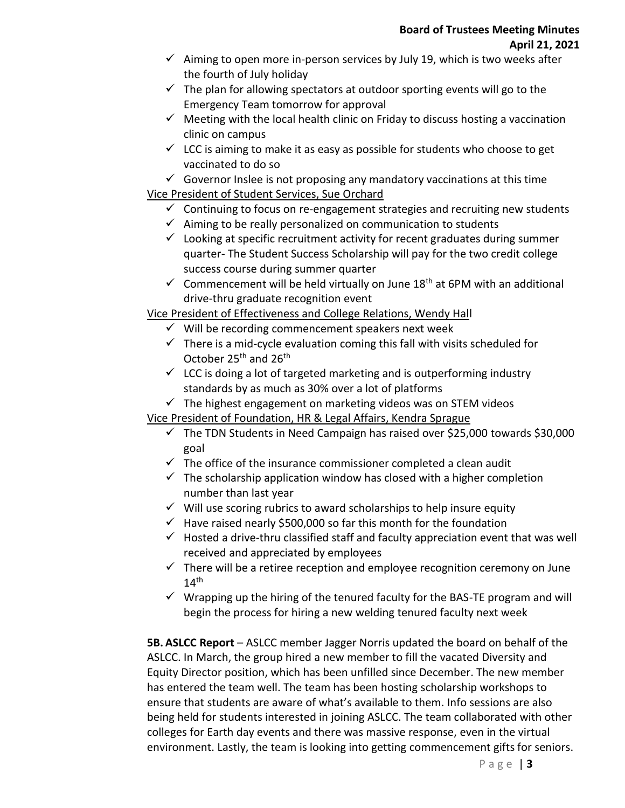- $\checkmark$  Aiming to open more in-person services by July 19, which is two weeks after the fourth of July holiday
- $\checkmark$  The plan for allowing spectators at outdoor sporting events will go to the Emergency Team tomorrow for approval
- $\checkmark$  Meeting with the local health clinic on Friday to discuss hosting a vaccination clinic on campus
- $\checkmark$  LCC is aiming to make it as easy as possible for students who choose to get vaccinated to do so

 $\checkmark$  Governor Inslee is not proposing any mandatory vaccinations at this time Vice President of Student Services, Sue Orchard

- $\checkmark$  Continuing to focus on re-engagement strategies and recruiting new students
- $\checkmark$  Aiming to be really personalized on communication to students
- $\checkmark$  Looking at specific recruitment activity for recent graduates during summer quarter- The Student Success Scholarship will pay for the two credit college success course during summer quarter
- $\checkmark$  Commencement will be held virtually on June 18<sup>th</sup> at 6PM with an additional drive-thru graduate recognition event

## Vice President of Effectiveness and College Relations, Wendy Hall

- $\checkmark$  Will be recording commencement speakers next week
- $\checkmark$  There is a mid-cycle evaluation coming this fall with visits scheduled for October 25<sup>th</sup> and 26<sup>th</sup>
- $\checkmark$  LCC is doing a lot of targeted marketing and is outperforming industry standards by as much as 30% over a lot of platforms
- $\checkmark$  The highest engagement on marketing videos was on STEM videos

Vice President of Foundation, HR & Legal Affairs, Kendra Sprague

- $\checkmark$  The TDN Students in Need Campaign has raised over \$25,000 towards \$30,000 goal
- $\checkmark$  The office of the insurance commissioner completed a clean audit
- $\checkmark$  The scholarship application window has closed with a higher completion number than last year
- $\checkmark$  Will use scoring rubrics to award scholarships to help insure equity
- $\checkmark$  Have raised nearly \$500,000 so far this month for the foundation
- $\checkmark$  Hosted a drive-thru classified staff and faculty appreciation event that was well received and appreciated by employees
- $\checkmark$  There will be a retiree reception and employee recognition ceremony on June  $14^{\text{th}}$
- $\checkmark$  Wrapping up the hiring of the tenured faculty for the BAS-TE program and will begin the process for hiring a new welding tenured faculty next week

**5B. ASLCC Report** – ASLCC member Jagger Norris updated the board on behalf of the ASLCC. In March, the group hired a new member to fill the vacated Diversity and Equity Director position, which has been unfilled since December. The new member has entered the team well. The team has been hosting scholarship workshops to ensure that students are aware of what's available to them. Info sessions are also being held for students interested in joining ASLCC. The team collaborated with other colleges for Earth day events and there was massive response, even in the virtual environment. Lastly, the team is looking into getting commencement gifts for seniors.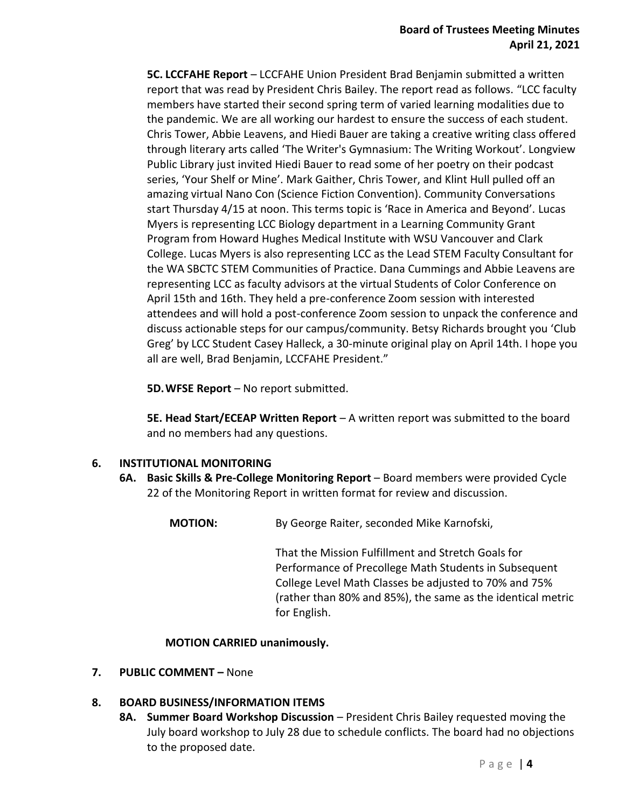**5C. LCCFAHE Report** – LCCFAHE Union President Brad Benjamin submitted a written report that was read by President Chris Bailey. The report read as follows. "LCC faculty members have started their second spring term of varied learning modalities due to the pandemic. We are all working our hardest to ensure the success of each student. Chris Tower, Abbie Leavens, and Hiedi Bauer are taking a creative writing class offered through literary arts called 'The Writer's Gymnasium: The Writing Workout'. Longview Public Library just invited Hiedi Bauer to read some of her poetry on their podcast series, 'Your Shelf or Mine'. Mark Gaither, Chris Tower, and Klint Hull pulled off an amazing virtual Nano Con (Science Fiction Convention). Community Conversations start Thursday 4/15 at noon. This terms topic is 'Race in America and Beyond'. Lucas Myers is representing LCC Biology department in a Learning Community Grant Program from Howard Hughes Medical Institute with WSU Vancouver and Clark College. Lucas Myers is also representing LCC as the Lead STEM Faculty Consultant for the WA SBCTC STEM Communities of Practice. Dana Cummings and Abbie Leavens are representing LCC as faculty advisors at the virtual Students of Color Conference on April 15th and 16th. They held a pre-conference Zoom session with interested attendees and will hold a post-conference Zoom session to unpack the conference and discuss actionable steps for our campus/community. Betsy Richards brought you 'Club Greg' by LCC Student Casey Halleck, a 30-minute original play on April 14th. I hope you all are well, Brad Benjamin, LCCFAHE President."

**5D.WFSE Report** – No report submitted.

**5E. Head Start/ECEAP Written Report** – A written report was submitted to the board and no members had any questions.

## **6. INSTITUTIONAL MONITORING**

- **6A. Basic Skills & Pre-College Monitoring Report** Board members were provided Cycle 22 of the Monitoring Report in written format for review and discussion.
	- **MOTION:** By George Raiter, seconded Mike Karnofski,

That the Mission Fulfillment and Stretch Goals for Performance of Precollege Math Students in Subsequent College Level Math Classes be adjusted to 70% and 75% (rather than 80% and 85%), the same as the identical metric for English.

## **MOTION CARRIED unanimously.**

**7. PUBLIC COMMENT –** None

## **8. BOARD BUSINESS/INFORMATION ITEMS**

**8A. Summer Board Workshop Discussion** – President Chris Bailey requested moving the July board workshop to July 28 due to schedule conflicts. The board had no objections to the proposed date.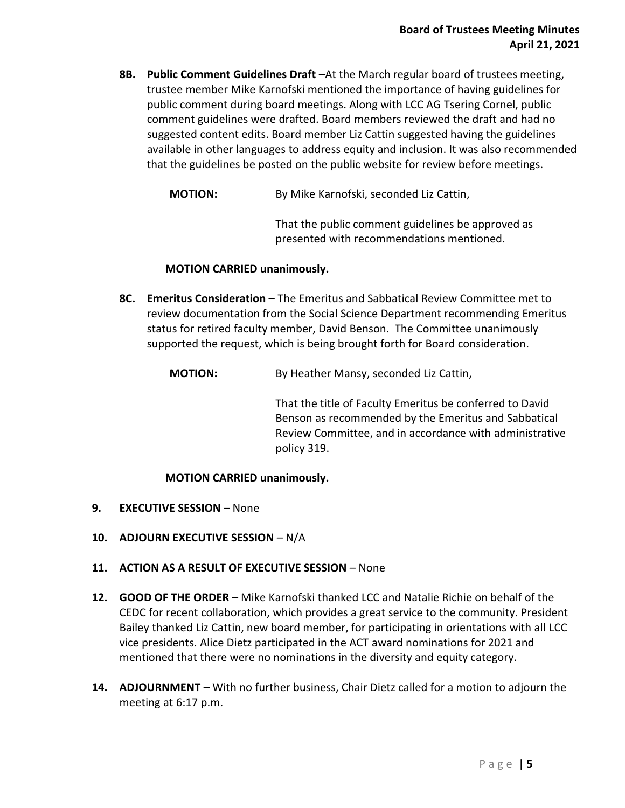**8B. Public Comment Guidelines Draft** –At the March regular board of trustees meeting, trustee member Mike Karnofski mentioned the importance of having guidelines for public comment during board meetings. Along with LCC AG Tsering Cornel, public comment guidelines were drafted. Board members reviewed the draft and had no suggested content edits. Board member Liz Cattin suggested having the guidelines available in other languages to address equity and inclusion. It was also recommended that the guidelines be posted on the public website for review before meetings.

**MOTION:** By Mike Karnofski, seconded Liz Cattin,

That the public comment guidelines be approved as presented with recommendations mentioned.

## **MOTION CARRIED unanimously.**

- **8C. Emeritus Consideration** The Emeritus and Sabbatical Review Committee met to review documentation from the Social Science Department recommending Emeritus status for retired faculty member, David Benson. The Committee unanimously supported the request, which is being brought forth for Board consideration.
	- **MOTION:** By Heather Mansy, seconded Liz Cattin,

That the title of Faculty Emeritus be conferred to David Benson as recommended by the Emeritus and Sabbatical Review Committee, and in accordance with administrative policy 319.

## **MOTION CARRIED unanimously.**

- **9. EXECUTIVE SESSION** None
- **10. ADJOURN EXECUTIVE SESSION** N/A
- **11. ACTION AS A RESULT OF EXECUTIVE SESSION** None
- **12. GOOD OF THE ORDER** Mike Karnofski thanked LCC and Natalie Richie on behalf of the CEDC for recent collaboration, which provides a great service to the community. President Bailey thanked Liz Cattin, new board member, for participating in orientations with all LCC vice presidents. Alice Dietz participated in the ACT award nominations for 2021 and mentioned that there were no nominations in the diversity and equity category.
- **14. ADJOURNMENT** With no further business, Chair Dietz called for a motion to adjourn the meeting at 6:17 p.m.